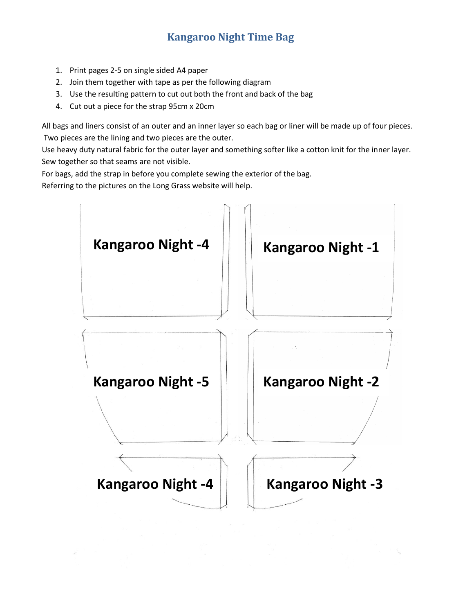## **Kangaroo Night Time Bag**

- 1. Print pages 2-5 on single sided A4 paper
- 2. Join them together with tape as per the following diagram
- 3. Use the resulting pattern to cut out both the front and back of the bag
- 4. Cut out a piece for the strap 95cm x 20cm

All bags and liners consist of an outer and an inner layer so each bag or liner will be made up of four pieces. Two pieces are the lining and two pieces are the outer.

Use heavy duty natural fabric for the outer layer and something softer like a cotton knit for the inner layer. Sew together so that seams are not visible.

For bags, add the strap in before you complete sewing the exterior of the bag.

Referring to the pictures on the Long Grass website will help.

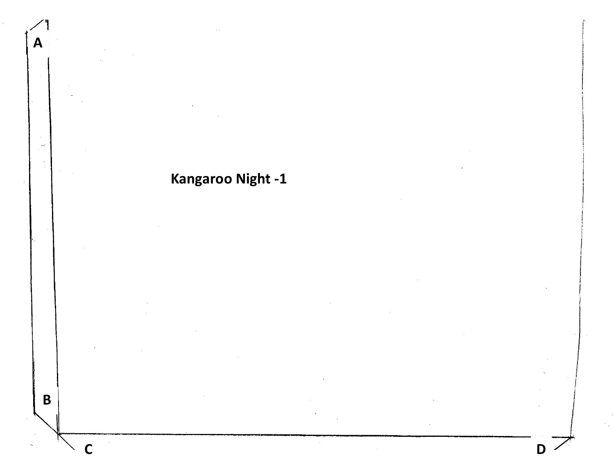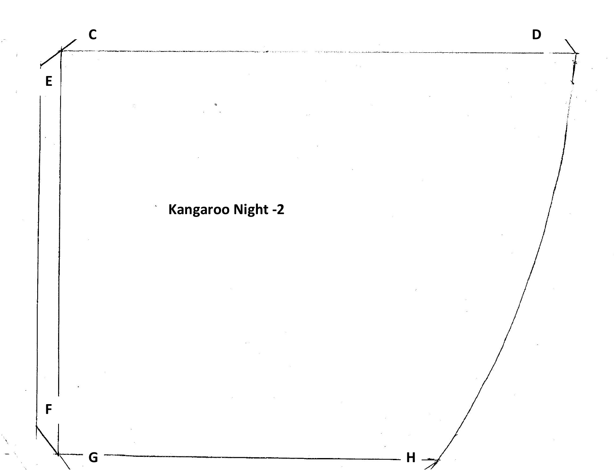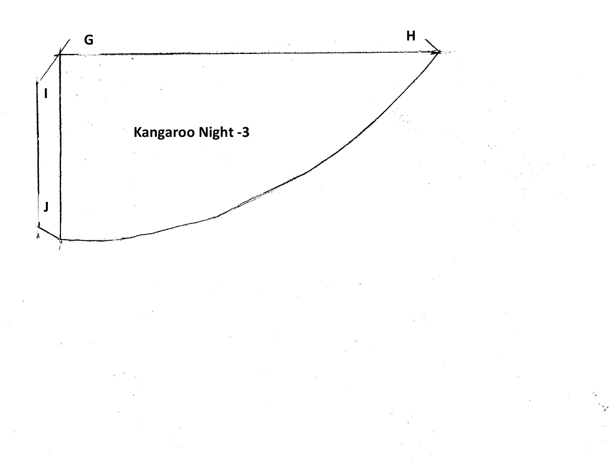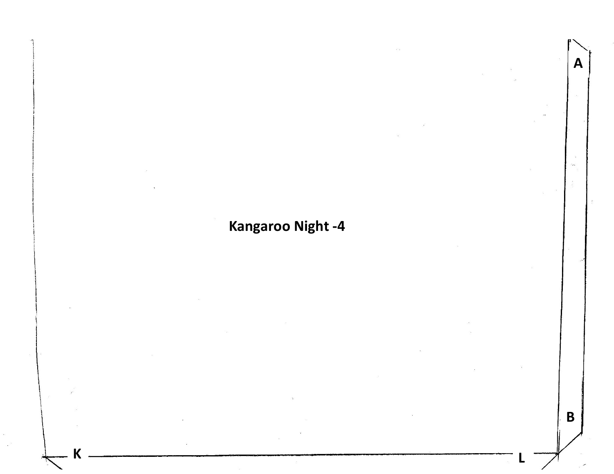## **Kangaroo Night -4**

**K L**

**A**

**B**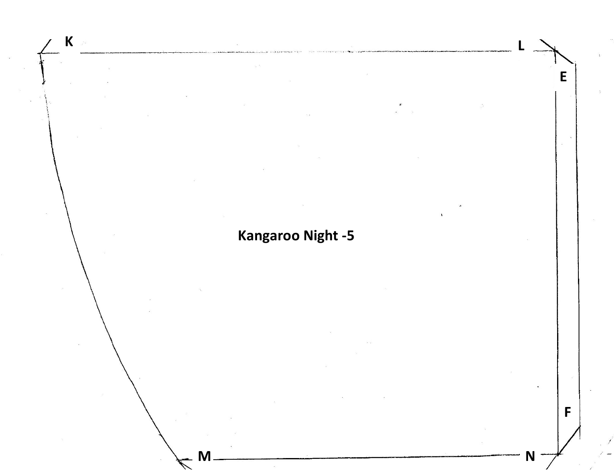## **Kangaroo Night -5**

**M N**

**E**

**F**

**K L**